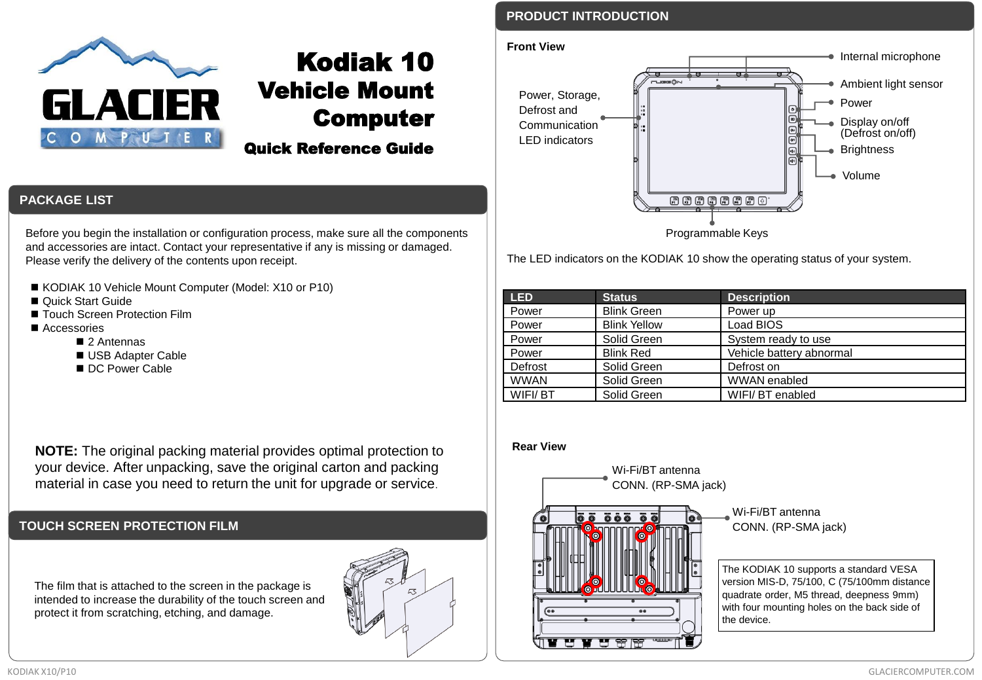

# Kodiak 10 Vehicle Mount Computer

### Quick Reference Guide

### **PACKAGE LIST**

Before you begin the installation or configuration process, make sure all the components and accessories are intact. Contact your representative if any is missing or damaged. Please verify the delivery of the contents upon receipt.

- KODIAK 10 Vehicle Mount Computer (Model: X10 or P10)
- Quick Start Guide
- Touch Screen Protection Film
- Accessories
	- 2 Antennas
	- USB Adapter Cable
	- DC Power Cable

**NOTE:** The original packing material provides optimal protection to your device. After unpacking, save the original carton and packing material in case you need to return the unit for upgrade or service.

### **TOUCH SCREEN PROTECTION FILM**

The film that is attached to the screen in the package is intended to increase the durability of the touch screen and protect it from scratching, etching, and damage.



### **PRODUCT INTRODUCTION**



The LED indicators on the KODIAK 10 show the operating status of your system.

| <b>LED</b>  | <b>Status</b>       | <b>Description</b>       |
|-------------|---------------------|--------------------------|
| Power       | <b>Blink Green</b>  | Power up                 |
| Power       | <b>Blink Yellow</b> | Load BIOS                |
| Power       | Solid Green         | System ready to use      |
| Power       | <b>Blink Red</b>    | Vehicle battery abnormal |
| Defrost     | Solid Green         | Defrost on               |
| <b>WWAN</b> | Solid Green         | WWAN enabled             |
| WIFI/BT     | Solid Green         | WIFI/BT enabled          |

#### **Rear View**



Wi-Fi/BT antenna CONN. (RP-SMA jack)

The KODIAK 10 supports a standard VESA version MIS-D, 75/100, C (75/100mm distance quadrate order, M5 thread, deepness 9mm) with four mounting holes on the back side of the device.